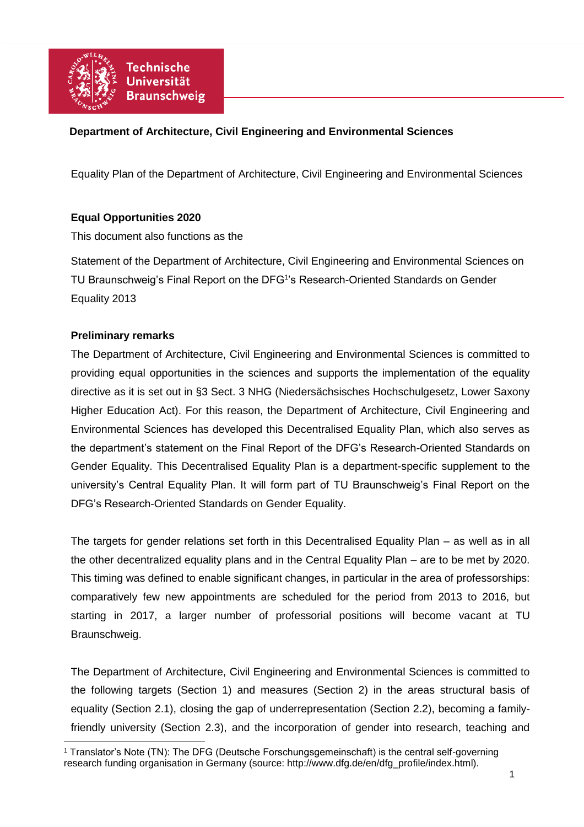

# **Department of Architecture, Civil Engineering and Environmental Sciences**

Equality Plan of the Department of Architecture, Civil Engineering and Environmental Sciences

## **Equal Opportunities 2020**

This document also functions as the

Statement of the Department of Architecture, Civil Engineering and Environmental Sciences on TU Braunschweig's Final Report on the DFG<sup>1</sup>'s Research-Oriented Standards on Gender Equality 2013

## **Preliminary remarks**

The Department of Architecture, Civil Engineering and Environmental Sciences is committed to providing equal opportunities in the sciences and supports the implementation of the equality directive as it is set out in §3 Sect. 3 NHG (Niedersächsisches Hochschulgesetz, Lower Saxony Higher Education Act). For this reason, the Department of Architecture, Civil Engineering and Environmental Sciences has developed this Decentralised Equality Plan, which also serves as the department's statement on the Final Report of the DFG's Research-Oriented Standards on Gender Equality. This Decentralised Equality Plan is a department-specific supplement to the university's Central Equality Plan. It will form part of TU Braunschweig's Final Report on the DFG's Research-Oriented Standards on Gender Equality.

The targets for gender relations set forth in this Decentralised Equality Plan – as well as in all the other decentralized equality plans and in the Central Equality Plan – are to be met by 2020. This timing was defined to enable significant changes, in particular in the area of professorships: comparatively few new appointments are scheduled for the period from 2013 to 2016, but starting in 2017, a larger number of professorial positions will become vacant at TU Braunschweig.

The Department of Architecture, Civil Engineering and Environmental Sciences is committed to the following targets (Section 1) and measures (Section 2) in the areas structural basis of equality (Section 2.1), closing the gap of underrepresentation (Section 2.2), becoming a familyfriendly university (Section 2.3), and the incorporation of gender into research, teaching and

 <sup>1</sup> Translator's Note (TN): The DFG (Deutsche Forschungsgemeinschaft) is the central self-governing research funding organisation in Germany (source: http://www.dfg.de/en/dfg\_profile/index.html).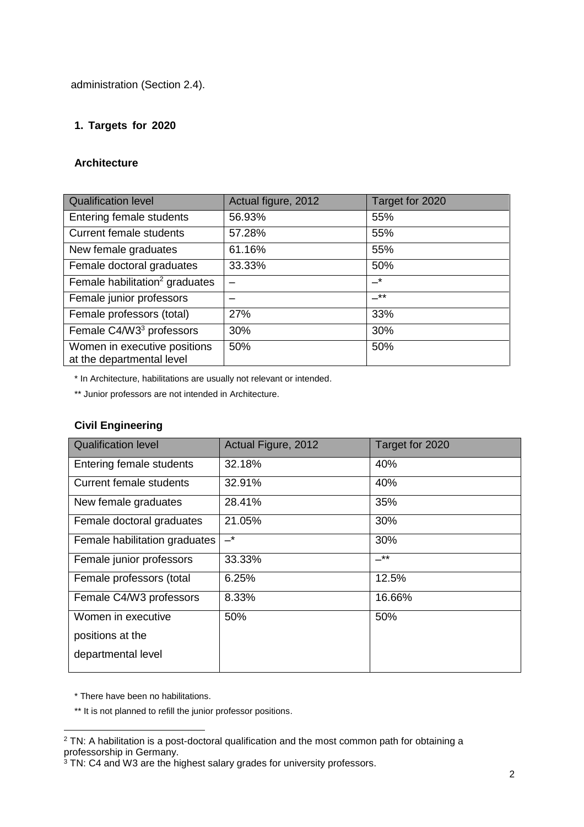administration (Section 2.4).

## **1. Targets for 2020**

## **Architecture**

| <b>Qualification level</b>                                | Actual figure, 2012 | Target for 2020 |
|-----------------------------------------------------------|---------------------|-----------------|
| Entering female students                                  | 56.93%              | 55%             |
| <b>Current female students</b>                            | 57.28%              | 55%             |
| New female graduates                                      | 61.16%              | 55%             |
| Female doctoral graduates                                 | 33.33%              | 50%             |
| Female habilitation <sup>2</sup> graduates                |                     | $-^{\star}$     |
| Female junior professors                                  |                     | $***$           |
| Female professors (total)                                 | 27%                 | 33%             |
| Female C4/W3 <sup>3</sup> professors                      | 30%                 | 30%             |
| Women in executive positions<br>at the departmental level | 50%                 | 50%             |

\* In Architecture, habilitations are usually not relevant or intended.

\*\* Junior professors are not intended in Architecture.

# **Civil Engineering**

| <b>Qualification level</b>     | Actual Figure, 2012 | Target for 2020 |
|--------------------------------|---------------------|-----------------|
| Entering female students       | 32.18%              | 40%             |
| <b>Current female students</b> | 32.91%              | 40%             |
| New female graduates           | 28.41%              | 35%             |
| Female doctoral graduates      | 21.05%              | 30%             |
| Female habilitation graduates  | $-^{\star}$         | 30%             |
| Female junior professors       | 33.33%              | _**             |
| Female professors (total       | 6.25%               | 12.5%           |
| Female C4/W3 professors        | 8.33%               | 16.66%          |
| Women in executive             | 50%                 | 50%             |
| positions at the               |                     |                 |
| departmental level             |                     |                 |
|                                |                     |                 |

\* There have been no habilitations.

\*\* It is not planned to refill the junior professor positions.

 $\overline{a}$ <sup>2</sup> TN: A habilitation is a post-doctoral qualification and the most common path for obtaining a professorship in Germany.

<sup>&</sup>lt;sup>3</sup> TN: C4 and W3 are the highest salary grades for university professors.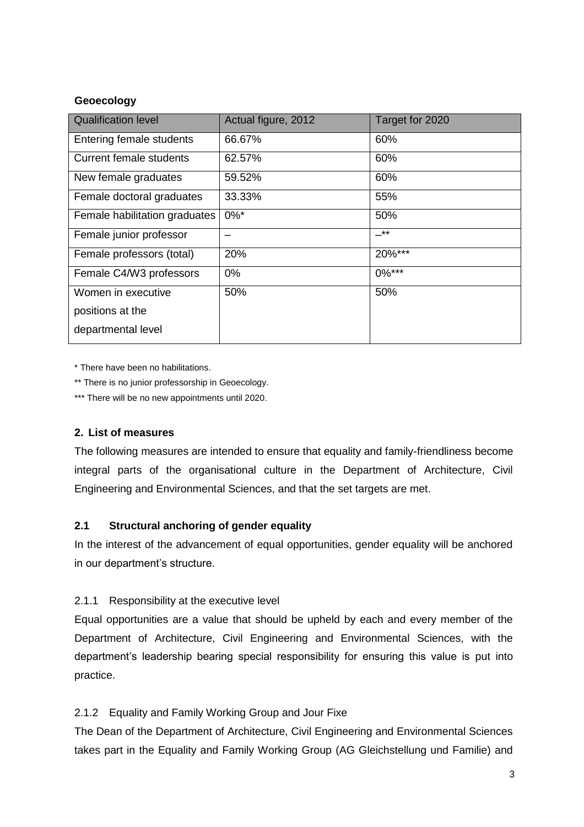## **Geoecology**

| <b>Qualification level</b>     | Actual figure, 2012 | Target for 2020 |
|--------------------------------|---------------------|-----------------|
| Entering female students       | 66.67%              | 60%             |
| <b>Current female students</b> | 62.57%              | 60%             |
| New female graduates           | 59.52%              | 60%             |
| Female doctoral graduates      | 33.33%              | 55%             |
| Female habilitation graduates  | $0\%$ *             | 50%             |
| Female junior professor        |                     | _**             |
| Female professors (total)      | 20%                 | 20%***          |
| Female C4/W3 professors        | $0\%$               | $0\%***$        |
| Women in executive             | 50%                 | 50%             |
| positions at the               |                     |                 |
| departmental level             |                     |                 |

\* There have been no habilitations.

\*\* There is no junior professorship in Geoecology.

\*\*\* There will be no new appointments until 2020.

## **2. List of measures**

The following measures are intended to ensure that equality and family-friendliness become integral parts of the organisational culture in the Department of Architecture, Civil Engineering and Environmental Sciences, and that the set targets are met.

## **2.1 Structural anchoring of gender equality**

In the interest of the advancement of equal opportunities, gender equality will be anchored in our department's structure.

## 2.1.1 Responsibility at the executive level

Equal opportunities are a value that should be upheld by each and every member of the Department of Architecture, Civil Engineering and Environmental Sciences, with the department's leadership bearing special responsibility for ensuring this value is put into practice.

## 2.1.2 Equality and Family Working Group and Jour Fixe

The Dean of the Department of Architecture, Civil Engineering and Environmental Sciences takes part in the Equality and Family Working Group (AG Gleichstellung und Familie) and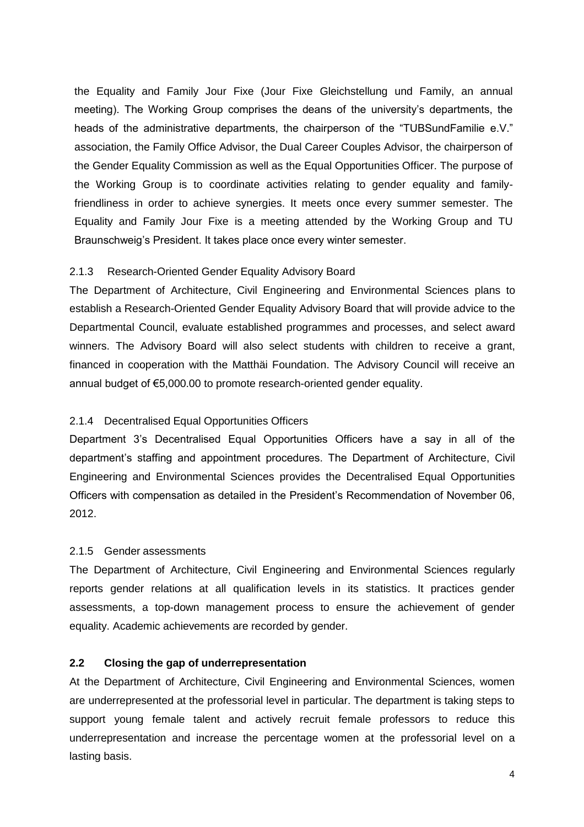the Equality and Family Jour Fixe (Jour Fixe Gleichstellung und Family, an annual meeting). The Working Group comprises the deans of the university's departments, the heads of the administrative departments, the chairperson of the "TUBSundFamilie e.V." association, the Family Office Advisor, the Dual Career Couples Advisor, the chairperson of the Gender Equality Commission as well as the Equal Opportunities Officer. The purpose of the Working Group is to coordinate activities relating to gender equality and familyfriendliness in order to achieve synergies. It meets once every summer semester. The Equality and Family Jour Fixe is a meeting attended by the Working Group and TU Braunschweig's President. It takes place once every winter semester.

## 2.1.3 Research-Oriented Gender Equality Advisory Board

The Department of Architecture, Civil Engineering and Environmental Sciences plans to establish a Research-Oriented Gender Equality Advisory Board that will provide advice to the Departmental Council, evaluate established programmes and processes, and select award winners. The Advisory Board will also select students with children to receive a grant, financed in cooperation with the Matthäi Foundation. The Advisory Council will receive an annual budget of €5,000.00 to promote research-oriented gender equality.

## 2.1.4 Decentralised Equal Opportunities Officers

Department 3's Decentralised Equal Opportunities Officers have a say in all of the department's staffing and appointment procedures. The Department of Architecture, Civil Engineering and Environmental Sciences provides the Decentralised Equal Opportunities Officers with compensation as detailed in the President's Recommendation of November 06, 2012.

## 2.1.5 Gender assessments

The Department of Architecture, Civil Engineering and Environmental Sciences regularly reports gender relations at all qualification levels in its statistics. It practices gender assessments, a top-down management process to ensure the achievement of gender equality. Academic achievements are recorded by gender.

## **2.2 Closing the gap of underrepresentation**

At the Department of Architecture, Civil Engineering and Environmental Sciences, women are underrepresented at the professorial level in particular. The department is taking steps to support young female talent and actively recruit female professors to reduce this underrepresentation and increase the percentage women at the professorial level on a lasting basis.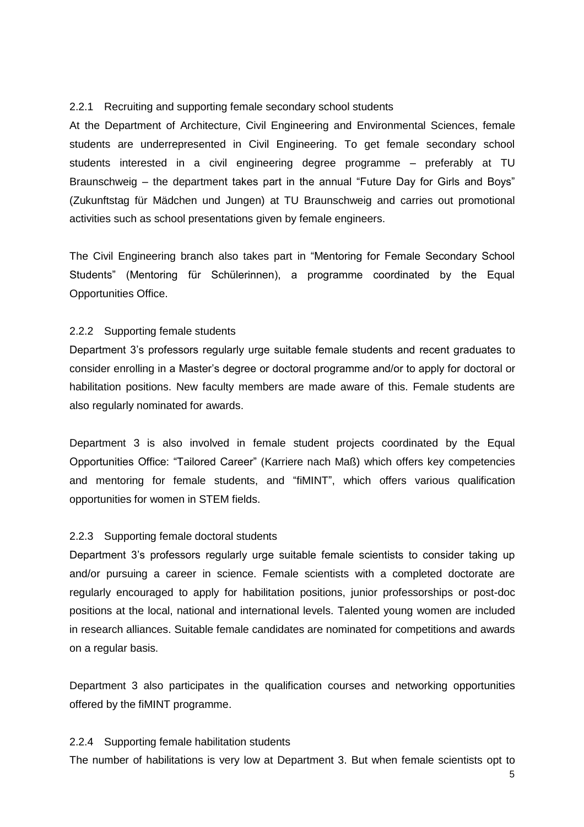#### 2.2.1 Recruiting and supporting female secondary school students

At the Department of Architecture, Civil Engineering and Environmental Sciences, female students are underrepresented in Civil Engineering. To get female secondary school students interested in a civil engineering degree programme – preferably at TU Braunschweig – the department takes part in the annual "Future Day for Girls and Boys" (Zukunftstag für Mädchen und Jungen) at TU Braunschweig and carries out promotional activities such as school presentations given by female engineers.

The Civil Engineering branch also takes part in "Mentoring for Female Secondary School Students" (Mentoring für Schülerinnen), a programme coordinated by the Equal Opportunities Office.

#### 2.2.2 Supporting female students

Department 3's professors regularly urge suitable female students and recent graduates to consider enrolling in a Master's degree or doctoral programme and/or to apply for doctoral or habilitation positions. New faculty members are made aware of this. Female students are also regularly nominated for awards.

Department 3 is also involved in female student projects coordinated by the Equal Opportunities Office: "Tailored Career" (Karriere nach Maß) which offers key competencies and mentoring for female students, and "fiMINT", which offers various qualification opportunities for women in STEM fields.

#### 2.2.3 Supporting female doctoral students

Department 3's professors regularly urge suitable female scientists to consider taking up and/or pursuing a career in science. Female scientists with a completed doctorate are regularly encouraged to apply for habilitation positions, junior professorships or post-doc positions at the local, national and international levels. Talented young women are included in research alliances. Suitable female candidates are nominated for competitions and awards on a regular basis.

Department 3 also participates in the qualification courses and networking opportunities offered by the fiMINT programme.

#### 2.2.4 Supporting female habilitation students

The number of habilitations is very low at Department 3. But when female scientists opt to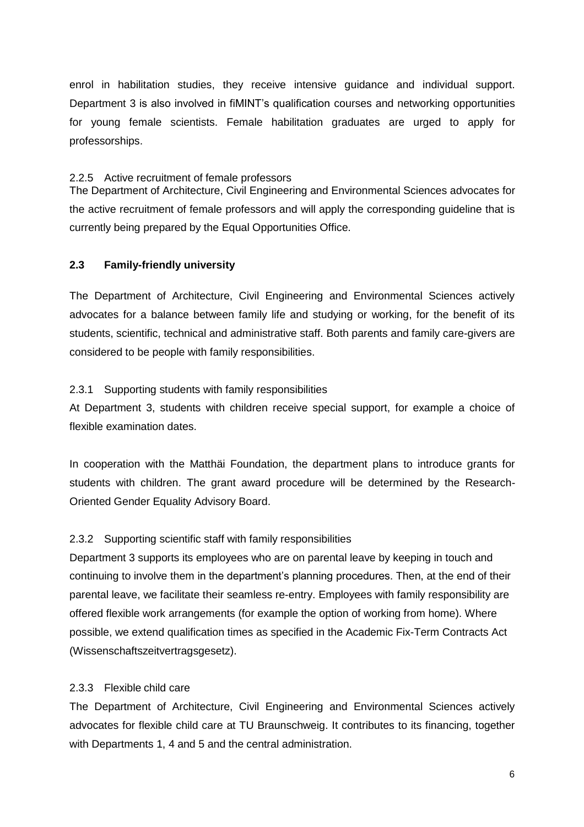enrol in habilitation studies, they receive intensive guidance and individual support. Department 3 is also involved in fiMINT's qualification courses and networking opportunities for young female scientists. Female habilitation graduates are urged to apply for professorships.

#### 2.2.5 Active recruitment of female professors

The Department of Architecture, Civil Engineering and Environmental Sciences advocates for the active recruitment of female professors and will apply the corresponding guideline that is currently being prepared by the Equal Opportunities Office.

## **2.3 Family-friendly university**

The Department of Architecture, Civil Engineering and Environmental Sciences actively advocates for a balance between family life and studying or working, for the benefit of its students, scientific, technical and administrative staff. Both parents and family care-givers are considered to be people with family responsibilities.

#### 2.3.1 Supporting students with family responsibilities

At Department 3, students with children receive special support, for example a choice of flexible examination dates.

In cooperation with the Matthäi Foundation, the department plans to introduce grants for students with children. The grant award procedure will be determined by the Research-Oriented Gender Equality Advisory Board.

#### 2.3.2 Supporting scientific staff with family responsibilities

Department 3 supports its employees who are on parental leave by keeping in touch and continuing to involve them in the department's planning procedures. Then, at the end of their parental leave, we facilitate their seamless re-entry. Employees with family responsibility are offered flexible work arrangements (for example the option of working from home). Where possible, we extend qualification times as specified in the Academic Fix-Term Contracts Act (Wissenschaftszeitvertragsgesetz).

#### 2.3.3 Flexible child care

The Department of Architecture, Civil Engineering and Environmental Sciences actively advocates for flexible child care at TU Braunschweig. It contributes to its financing, together with Departments 1, 4 and 5 and the central administration.